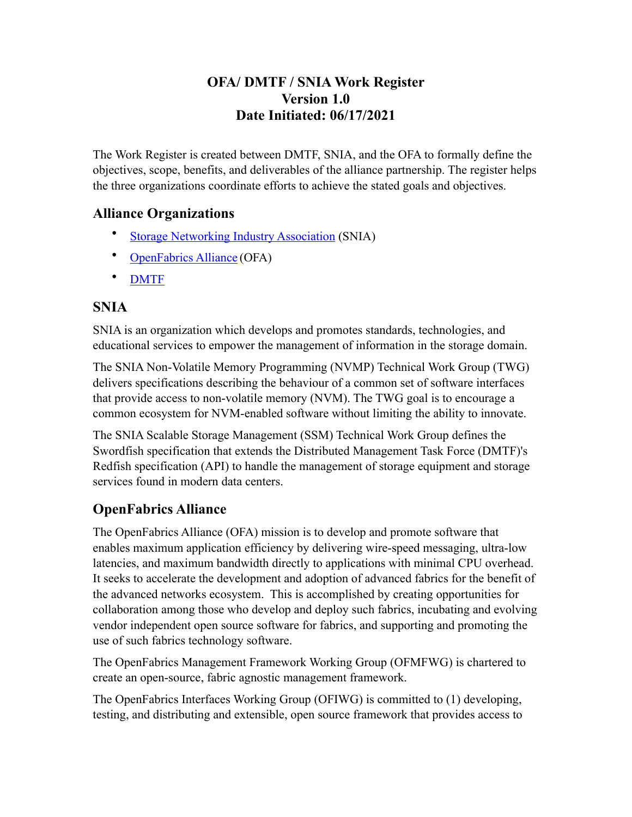### **OFA/ DMTF / SNIA Work Register Version 1.0 Date Initiated: 06/17/2021**

The Work Register is created between DMTF, SNIA, and the OFA to formally define the objectives, scope, benefits, and deliverables of the alliance partnership. The register helps the three organizations coordinate efforts to achieve the stated goals and objectives.

### **Alliance Organizations**

- **[Storage Networking Industry Association](http://www.snia.org) (SNIA)**
- [OpenFabrics Alliance](https://intel-my.sharepoint.com/personal/phil_cayton_intel_com/Documents/AppData/Local/Microsoft/Windows/INetCache/Content.Outlook/O3JG2R9R/openfabrics.org) (OFA)
- [DMTF](http://www.dmtf.org/)

### **SNIA**

SNIA is an organization which develops and promotes standards, technologies, and educational services to empower the management of information in the storage domain.

The SNIA Non-Volatile Memory Programming (NVMP) Technical Work Group (TWG) delivers specifications describing the behaviour of a common set of software interfaces that provide access to non-volatile memory (NVM). The TWG goal is to encourage a common ecosystem for NVM-enabled software without limiting the ability to innovate.

The SNIA Scalable Storage Management (SSM) Technical Work Group defines the Swordfish specification that extends the Distributed Management Task Force (DMTF)'s Redfish specification (API) to handle the management of storage equipment and storage services found in modern data centers.

# **OpenFabrics Alliance**

The OpenFabrics Alliance (OFA) mission is to develop and promote software that enables maximum application efficiency by delivering wire-speed messaging, ultra-low latencies, and maximum bandwidth directly to applications with minimal CPU overhead. It seeks to accelerate the development and adoption of advanced fabrics for the benefit of the advanced networks ecosystem. This is accomplished by creating opportunities for collaboration among those who develop and deploy such fabrics, incubating and evolving vendor independent open source software for fabrics, and supporting and promoting the use of such fabrics technology software.

The OpenFabrics Management Framework Working Group (OFMFWG) is chartered to create an open-source, fabric agnostic management framework.

The OpenFabrics Interfaces Working Group (OFIWG) is committed to (1) developing, testing, and distributing and extensible, open source framework that provides access to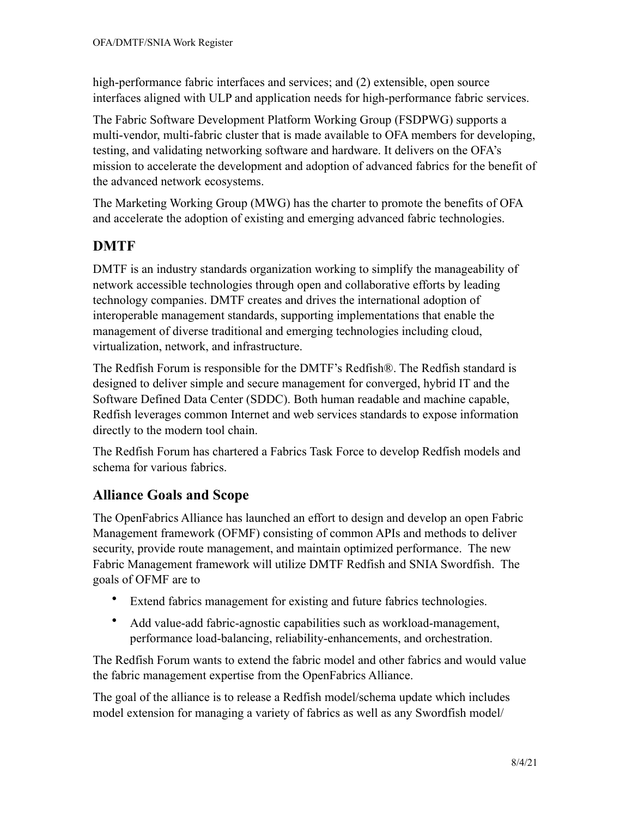high-performance fabric interfaces and services; and (2) extensible, open source interfaces aligned with ULP and application needs for high-performance fabric services.

The Fabric Software Development Platform Working Group (FSDPWG) supports a multi-vendor, multi-fabric cluster that is made available to OFA members for developing, testing, and validating networking software and hardware. It delivers on the OFA's mission to accelerate the development and adoption of advanced fabrics for the benefit of the advanced network ecosystems.

The Marketing Working Group (MWG) has the charter to promote the benefits of OFA and accelerate the adoption of existing and emerging advanced fabric technologies.

# **DMTF**

DMTF is an industry standards organization working to simplify the manageability of network accessible technologies through open and collaborative efforts by leading technology companies. DMTF creates and drives the international adoption of interoperable management standards, supporting implementations that enable the management of diverse traditional and emerging technologies including cloud, virtualization, network, and infrastructure.

The Redfish Forum is responsible for the DMTF's Redfish®. The Redfish standard is designed to deliver simple and secure management for converged, hybrid IT and the Software Defined Data Center (SDDC). Both human readable and machine capable, Redfish leverages common Internet and web services standards to expose information directly to the modern tool chain.

The Redfish Forum has chartered a Fabrics Task Force to develop Redfish models and schema for various fabrics.

## **Alliance Goals and Scope**

The OpenFabrics Alliance has launched an effort to design and develop an open Fabric Management framework (OFMF) consisting of common APIs and methods to deliver security, provide route management, and maintain optimized performance. The new Fabric Management framework will utilize DMTF Redfish and SNIA Swordfish. The goals of OFMF are to

- Extend fabrics management for existing and future fabrics technologies.
- Add value-add fabric-agnostic capabilities such as workload-management, performance load-balancing, reliability-enhancements, and orchestration.

The Redfish Forum wants to extend the fabric model and other fabrics and would value the fabric management expertise from the OpenFabrics Alliance.

The goal of the alliance is to release a Redfish model/schema update which includes model extension for managing a variety of fabrics as well as any Swordfish model/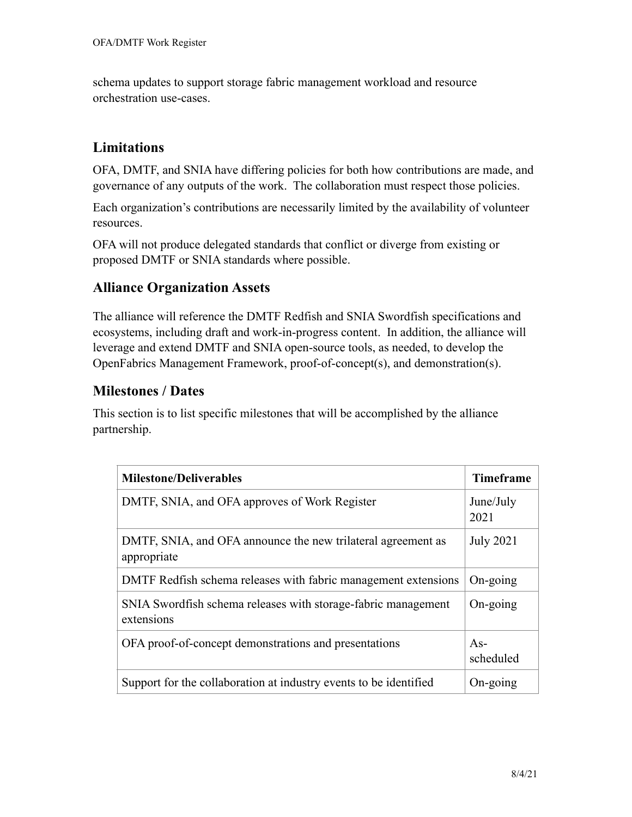schema updates to support storage fabric management workload and resource orchestration use-cases.

#### **Limitations**

OFA, DMTF, and SNIA have differing policies for both how contributions are made, and governance of any outputs of the work. The collaboration must respect those policies.

Each organization's contributions are necessarily limited by the availability of volunteer resources.

OFA will not produce delegated standards that conflict or diverge from existing or proposed DMTF or SNIA standards where possible.

### **Alliance Organization Assets**

The alliance will reference the DMTF Redfish and SNIA Swordfish specifications and ecosystems, including draft and work-in-progress content. In addition, the alliance will leverage and extend DMTF and SNIA open-source tools, as needed, to develop the OpenFabrics Management Framework, proof-of-concept(s), and demonstration(s).

### **Milestones / Dates**

This section is to list specific milestones that will be accomplished by the alliance partnership.

| <b>Milestone/Deliverables</b>                                               | <b>Timeframe</b>   |
|-----------------------------------------------------------------------------|--------------------|
| DMTF, SNIA, and OFA approves of Work Register                               | June/July<br>2021  |
| DMTF, SNIA, and OFA announce the new trilateral agreement as<br>appropriate | <b>July 2021</b>   |
| DMTF Redfish schema releases with fabric management extensions              | $On-going$         |
| SNIA Swordfish schema releases with storage-fabric management<br>extensions | $On-going$         |
| OFA proof-of-concept demonstrations and presentations                       | $As-$<br>scheduled |
| Support for the collaboration at industry events to be identified           | $On-going$         |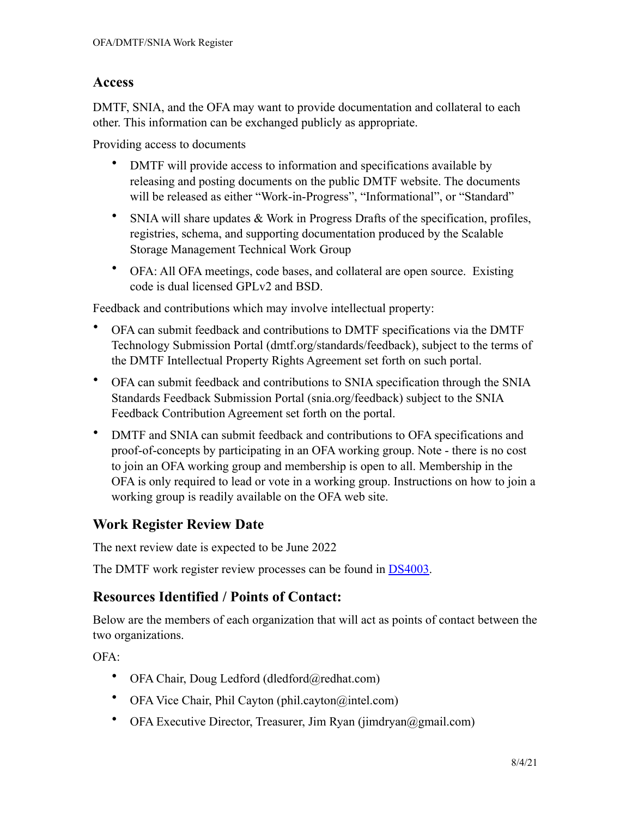#### **Access**

DMTF, SNIA, and the OFA may want to provide documentation and collateral to each other. This information can be exchanged publicly as appropriate.

Providing access to documents

- DMTF will provide access to information and specifications available by releasing and posting documents on the public DMTF website. The documents will be released as either "Work-in-Progress", "Informational", or "Standard"
- SNIA will share updates & Work in Progress Drafts of the specification, profiles, registries, schema, and supporting documentation produced by the Scalable Storage Management Technical Work Group
- OFA: All OFA meetings, code bases, and collateral are open source. Existing code is dual licensed GPLv2 and BSD.

Feedback and contributions which may involve intellectual property:

- OFA can submit feedback and contributions to DMTF specifications via the DMTF Technology Submission Portal (dmtf.org/standards/feedback), subject to the terms of the DMTF Intellectual Property Rights Agreement set forth on such portal.
- OFA can submit feedback and contributions to SNIA specification through the SNIA Standards Feedback Submission Portal (snia.org/feedback) subject to the SNIA Feedback Contribution Agreement set forth on the portal.
- DMTF and SNIA can submit feedback and contributions to OFA specifications and proof-of-concepts by participating in an OFA working group. Note - there is no cost to join an OFA working group and membership is open to all. Membership in the OFA is only required to lead or vote in a working group. Instructions on how to join a working group is readily available on the OFA web site.

## **Work Register Review Date**

The next review date is expected to be June 2022

The DMTF work register review processes can be found in [DS4003.](https://www.dmtf.org/dsp/DSP4003)

#### **Resources Identified / Points of Contact:**

Below are the members of each organization that will act as points of contact between the two organizations.

 $OFA$ 

- OFA Chair, Doug Ledford (dledford@redhat.com)
- OFA Vice Chair, Phil Cayton (phil.cayton@intel.com)
- OFA Executive Director, Treasurer, Jim Ryan (jimdryan@gmail.com)